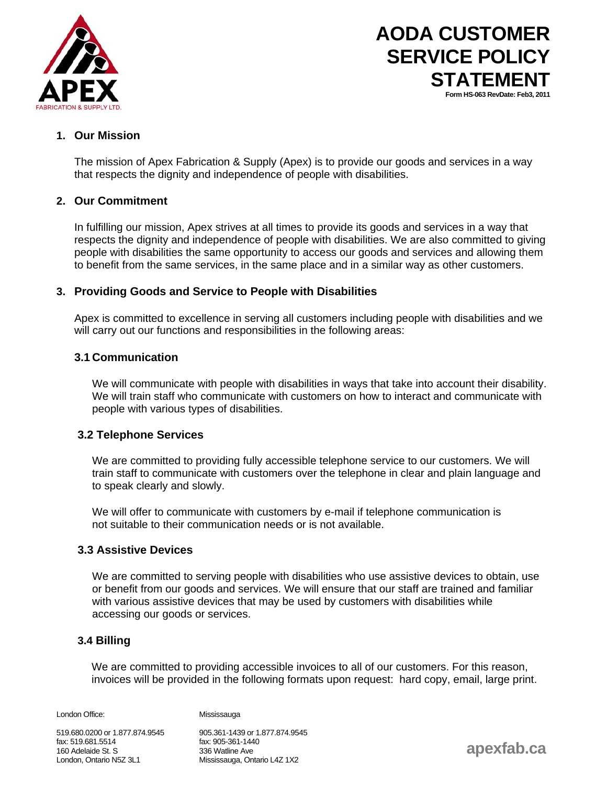

# **AODA CUSTOMER SERVICE POLICY STATEMENT Form HS-063 RevDate: Feb3, 2011**

## **1. Our Mission**

The mission of Apex Fabrication & Supply (Apex) is to provide our goods and services in a way that respects the dignity and independence of people with disabilities.

### **2. Our Commitment**

In fulfilling our mission, Apex strives at all times to provide its goods and services in a way that respects the dignity and independence of people with disabilities. We are also committed to giving people with disabilities the same opportunity to access our goods and services and allowing them to benefit from the same services, in the same place and in a similar way as other customers.

### **3. Providing Goods and Service to People with Disabilities**

Apex is committed to excellence in serving all customers including people with disabilities and we will carry out our functions and responsibilities in the following areas:

#### **3.1 Communication**

We will communicate with people with disabilities in ways that take into account their disability. We will train staff who communicate with customers on how to interact and communicate with people with various types of disabilities.

### **3.2 Telephone Services**

We are committed to providing fully accessible telephone service to our customers. We will train staff to communicate with customers over the telephone in clear and plain language and to speak clearly and slowly.

We will offer to communicate with customers by e-mail if telephone communication is not suitable to their communication needs or is not available.

#### **3.3 Assistive Devices**

We are committed to serving people with disabilities who use assistive devices to obtain, use or benefit from our goods and services. We will ensure that our staff are trained and familiar with various assistive devices that may be used by customers with disabilities while accessing our goods or services.

### **3.4 Billing**

We are committed to providing accessible invoices to all of our customers. For this reason, invoices will be provided in the following formats upon request: hard copy, email, large print.

London Office: Mississauga

519.680.0200 or 1.877.874.9545 905.361-1439 or 1.877.874.9545 fax: 519.681.5514 fax: 905-361-1440 160 Adelaide St. S 336 Watline Ave London, Ontario N5Z 3L1 Mississauga, Ontario L4Z 1X2

**apexfab.ca**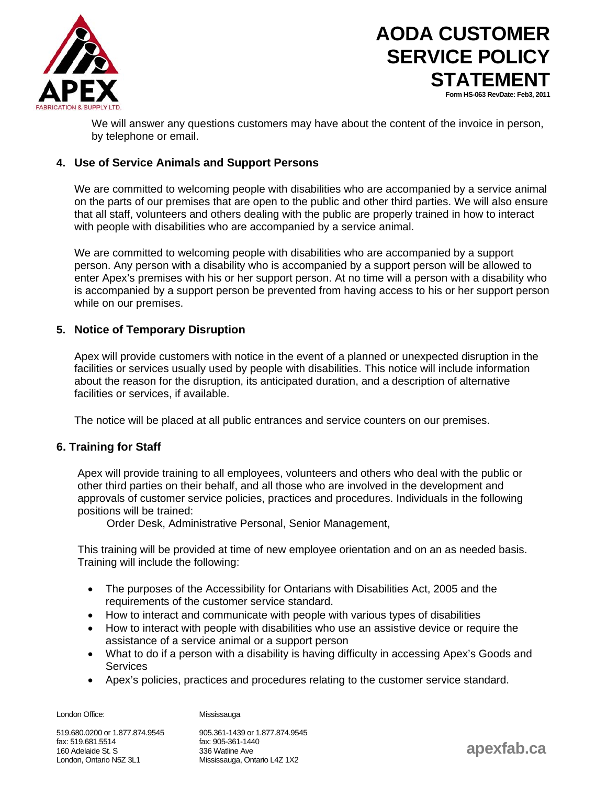

# **AODA CUSTOMER SERVICE POLICY STATEMENT Form HS-063 RevDate: Feb3, 2011**

We will answer any questions customers may have about the content of the invoice in person, by telephone or email.

## **4. Use of Service Animals and Support Persons**

We are committed to welcoming people with disabilities who are accompanied by a service animal on the parts of our premises that are open to the public and other third parties. We will also ensure that all staff, volunteers and others dealing with the public are properly trained in how to interact with people with disabilities who are accompanied by a service animal.

We are committed to welcoming people with disabilities who are accompanied by a support person. Any person with a disability who is accompanied by a support person will be allowed to enter Apex's premises with his or her support person. At no time will a person with a disability who is accompanied by a support person be prevented from having access to his or her support person while on our premises.

### **5. Notice of Temporary Disruption**

Apex will provide customers with notice in the event of a planned or unexpected disruption in the facilities or services usually used by people with disabilities. This notice will include information about the reason for the disruption, its anticipated duration, and a description of alternative facilities or services, if available.

The notice will be placed at all public entrances and service counters on our premises.

### **6. Training for Staff**

Apex will provide training to all employees, volunteers and others who deal with the public or other third parties on their behalf, and all those who are involved in the development and approvals of customer service policies, practices and procedures. Individuals in the following positions will be trained:

Order Desk, Administrative Personal, Senior Management,

This training will be provided at time of new employee orientation and on an as needed basis. Training will include the following:

- The purposes of the Accessibility for Ontarians with Disabilities Act, 2005 and the requirements of the customer service standard.
- How to interact and communicate with people with various types of disabilities
- How to interact with people with disabilities who use an assistive device or require the assistance of a service animal or a support person
- What to do if a person with a disability is having difficulty in accessing Apex's Goods and **Services**
- Apex's policies, practices and procedures relating to the customer service standard.

London Office: Mississauga

519.680.0200 or 1.877.874.9545 905.361-1439 or 1.877.874.9545